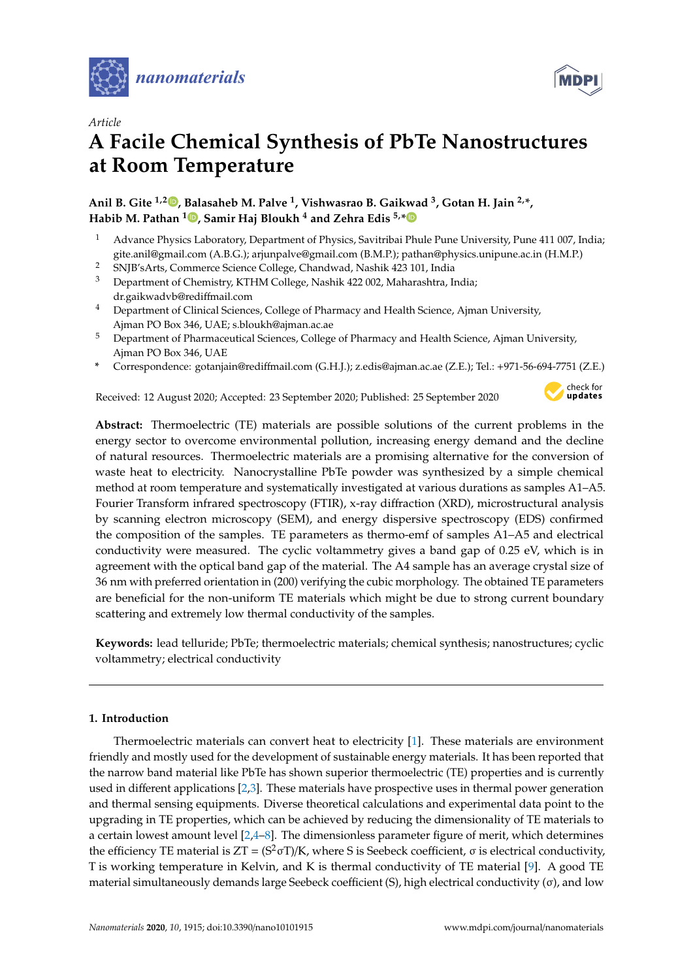



# *Article* **A Facile Chemical Synthesis of PbTe Nanostructures at Room Temperature**

**Anil B. Gite 1,2 , Balasaheb M. Palve <sup>1</sup> , Vishwasrao B. Gaikwad <sup>3</sup> , Gotan H. Jain 2,\*, Habib M. Pathan <sup>1</sup> , Samir Haj Bloukh <sup>4</sup> and Zehra Edis 5,\***

- <sup>1</sup> Advance Physics Laboratory, Department of Physics, Savitribai Phule Pune University, Pune 411 007, India; gite.anil@gmail.com (A.B.G.); arjunpalve@gmail.com (B.M.P.); pathan@physics.unipune.ac.in (H.M.P.)
- <sup>2</sup> SNJB'sArts, Commerce Science College, Chandwad, Nashik 423 101, India
- <sup>3</sup> Department of Chemistry, KTHM College, Nashik 422 002, Maharashtra, India; dr.gaikwadvb@rediffmail.com
- <sup>4</sup> Department of Clinical Sciences, College of Pharmacy and Health Science, Ajman University, Ajman PO Box 346, UAE; s.bloukh@ajman.ac.ae
- <sup>5</sup> Department of Pharmaceutical Sciences, College of Pharmacy and Health Science, Ajman University, Ajman PO Box 346, UAE
- **\*** Correspondence: gotanjain@rediffmail.com (G.H.J.); z.edis@ajman.ac.ae (Z.E.); Tel.: +971-56-694-7751 (Z.E.)

Received: 12 August 2020; Accepted: 23 September 2020; Published: 25 September 2020



**Abstract:** Thermoelectric (TE) materials are possible solutions of the current problems in the energy sector to overcome environmental pollution, increasing energy demand and the decline of natural resources. Thermoelectric materials are a promising alternative for the conversion of waste heat to electricity. Nanocrystalline PbTe powder was synthesized by a simple chemical method at room temperature and systematically investigated at various durations as samples A1–A5. Fourier Transform infrared spectroscopy (FTIR), x-ray diffraction (XRD), microstructural analysis by scanning electron microscopy (SEM), and energy dispersive spectroscopy (EDS) confirmed the composition of the samples. TE parameters as thermo-emf of samples A1–A5 and electrical conductivity were measured. The cyclic voltammetry gives a band gap of 0.25 eV, which is in agreement with the optical band gap of the material. The A4 sample has an average crystal size of 36 nm with preferred orientation in (200) verifying the cubic morphology. The obtained TE parameters are beneficial for the non-uniform TE materials which might be due to strong current boundary scattering and extremely low thermal conductivity of the samples.

**Keywords:** lead telluride; PbTe; thermoelectric materials; chemical synthesis; nanostructures; cyclic voltammetry; electrical conductivity

## **1. Introduction**

Thermoelectric materials can convert heat to electricity [1]. These materials are environment friendly and mostly used for the development of sustainable energy materials. It has been reported that the narrow band material like PbTe has shown superior thermoelectric (TE) properties and is currently used in different applications [2,3]. These materials have prospective uses in thermal power generation and thermal sensing equipments. Diverse theoretical calculations and experimental data point to the upgrading in TE properties, which can be achieved by reducing the dimensionality of TE materials to a certain lowest amount level  $[2,4-8]$ . The dimensionless parameter figure of merit, which determines the efficiency TE material is  $ZT = (S^2 σT)/K$ , where S is Seebeck coefficient, σ is electrical conductivity, T is working temperature in Kelvin, and K is thermal conductivity of TE material [9]. A good TE material simultaneously demands large Seebeck coefficient (S), high electrical conductivity (σ), and low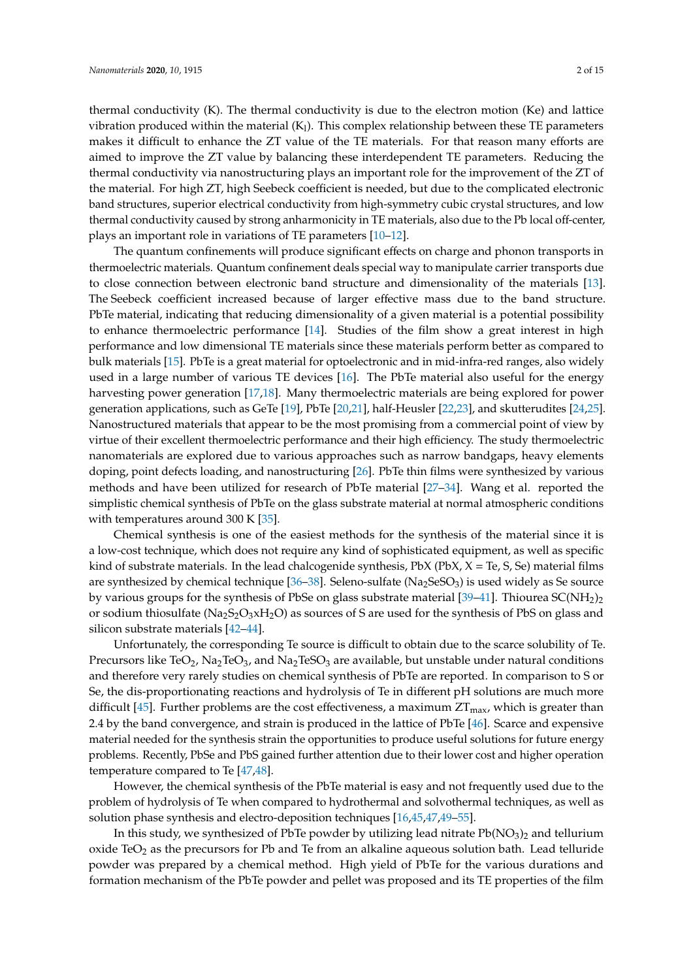thermal conductivity (K). The thermal conductivity is due to the electron motion (Ke) and lattice vibration produced within the material (K<sub>l</sub>). This complex relationship between these TE parameters makes it difficult to enhance the ZT value of the TE materials. For that reason many efforts are aimed to improve the ZT value by balancing these interdependent TE parameters. Reducing the thermal conductivity via nanostructuring plays an important role for the improvement of the ZT of the material. For high ZT, high Seebeck coefficient is needed, but due to the complicated electronic band structures, superior electrical conductivity from high-symmetry cubic crystal structures, and low thermal conductivity caused by strong anharmonicity in TE materials, also due to the Pb local off-center, plays an important role in variations of TE parameters [10–12].

The quantum confinements will produce significant effects on charge and phonon transports in thermoelectric materials. Quantum confinement deals special way to manipulate carrier transports due to close connection between electronic band structure and dimensionality of the materials [13]. The Seebeck coefficient increased because of larger effective mass due to the band structure. PbTe material, indicating that reducing dimensionality of a given material is a potential possibility to enhance thermoelectric performance [14]. Studies of the film show a great interest in high performance and low dimensional TE materials since these materials perform better as compared to bulk materials [15]. PbTe is a great material for optoelectronic and in mid-infra-red ranges, also widely used in a large number of various TE devices [16]. The PbTe material also useful for the energy harvesting power generation [17,18]. Many thermoelectric materials are being explored for power generation applications, such as GeTe [19], PbTe [20,21], half-Heusler [22,23], and skutterudites [24,25]. Nanostructured materials that appear to be the most promising from a commercial point of view by virtue of their excellent thermoelectric performance and their high efficiency. The study thermoelectric nanomaterials are explored due to various approaches such as narrow bandgaps, heavy elements doping, point defects loading, and nanostructuring [26]. PbTe thin films were synthesized by various methods and have been utilized for research of PbTe material [27–34]. Wang et al. reported the simplistic chemical synthesis of PbTe on the glass substrate material at normal atmospheric conditions with temperatures around 300 K [35].

Chemical synthesis is one of the easiest methods for the synthesis of the material since it is a low-cost technique, which does not require any kind of sophisticated equipment, as well as specific kind of substrate materials. In the lead chalcogenide synthesis,  $PbX$  ( $PbX$ ,  $X = Te$ ,  $S$ ,  $Se$ ) material films are synthesized by chemical technique [ $36-38$ ]. Seleno-sulfate (Na<sub>2</sub>SeSO<sub>3</sub>) is used widely as Se source by various groups for the synthesis of PbSe on glass substrate material [39–41]. Thiourea SC(NH<sub>2</sub>)<sub>2</sub> or sodium thiosulfate ( $\text{Na}_2\text{S}_2\text{O}_3\text{xH}_2\text{O}$ ) as sources of S are used for the synthesis of PbS on glass and silicon substrate materials [42–44].

Unfortunately, the corresponding Te source is difficult to obtain due to the scarce solubility of Te. Precursors like TeO<sub>2</sub>, Na<sub>2</sub>TeO<sub>3</sub>, and Na<sub>2</sub>TeSO<sub>3</sub> are available, but unstable under natural conditions and therefore very rarely studies on chemical synthesis of PbTe are reported. In comparison to S or Se, the dis-proportionating reactions and hydrolysis of Te in different pH solutions are much more difficult [45]. Further problems are the cost effectiveness, a maximum  $2T_{\text{max}}$ , which is greater than 2.4 by the band convergence, and strain is produced in the lattice of PbTe [46]. Scarce and expensive material needed for the synthesis strain the opportunities to produce useful solutions for future energy problems. Recently, PbSe and PbS gained further attention due to their lower cost and higher operation temperature compared to Te [47,48].

However, the chemical synthesis of the PbTe material is easy and not frequently used due to the problem of hydrolysis of Te when compared to hydrothermal and solvothermal techniques, as well as solution phase synthesis and electro-deposition techniques [16,45,47,49–55].

In this study, we synthesized of PbTe powder by utilizing lead nitrate  $Pb(NO<sub>3</sub>)<sub>2</sub>$  and tellurium oxide TeO<sub>2</sub> as the precursors for Pb and Te from an alkaline aqueous solution bath. Lead telluride powder was prepared by a chemical method. High yield of PbTe for the various durations and formation mechanism of the PbTe powder and pellet was proposed and its TE properties of the film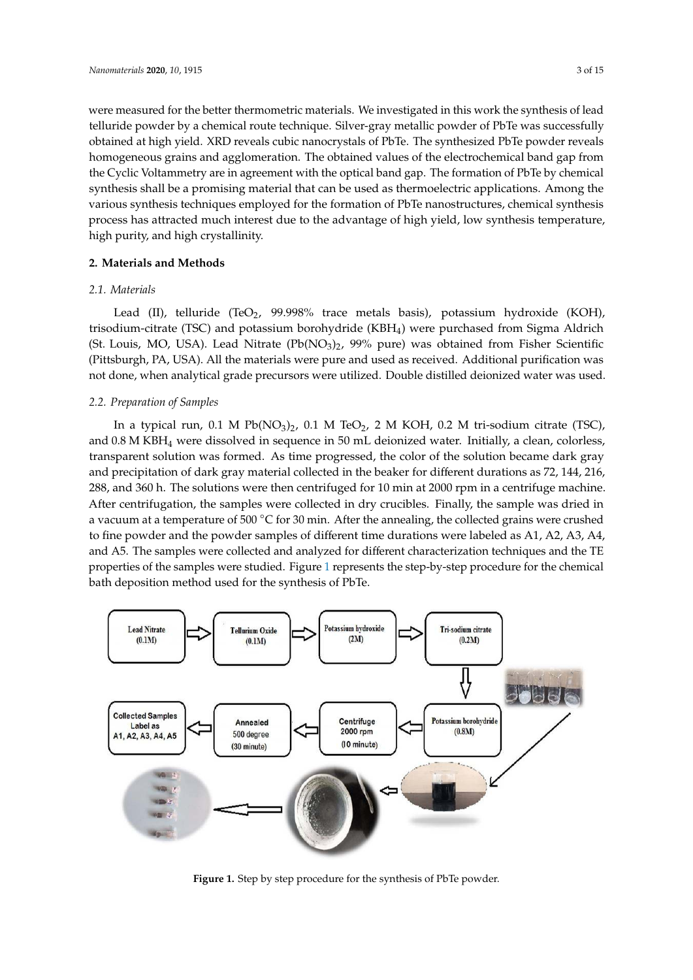were measured for the better thermometric materials. We investigated in this work the synthesis of lead telluride powder by a chemical route technique. Silver-gray metallic powder of PbTe was successfully obtained at high yield. XRD reveals cubic nanocrystals of PbTe. The synthesized PbTe powder reveals homogeneous grains and agglomeration. The obtained values of the electrochemical band gap from the Cyclic Voltammetry are in agreement with the optical band gap. The formation of PbTe by chemical synthesis shall be a promising material that can be used as thermoelectric applications. Among the various synthesis techniques employed for the formation of PbTe nanostructures, chemical synthesis process has attracted much interest due to the advantage of high yield, low synthesis temperature, high purity, and high crystallinity.

#### **2. Materials and Methods**

#### *2.1. Materials*

Lead (II), telluride (TeO<sub>2</sub>, 99.998% trace metals basis), potassium hydroxide (KOH), trisodium-citrate (TSC) and potassium borohydride (KBH4) were purchased from Sigma Aldrich (St. Louis, MO, USA). Lead Nitrate ( $Pb(NO<sub>3</sub>)<sub>2</sub>$ , 99% pure) was obtained from Fisher Scientific (Pittsburgh, PA, USA). All the materials were pure and used as received. Additional purification was not done, when analytical grade precursors were utilized. Double distilled deionized water was used.

# *2.2. Preparation of Samples*

In a typical run, 0.1 M Pb(NO<sub>3</sub>)<sub>2</sub>, 0.1 M TeO<sub>2</sub>, 2 M KOH, 0.2 M tri-sodium citrate (TSC), and 0.8 M KBH<sup>4</sup> were dissolved in sequence in 50 mL deionized water. Initially, a clean, colorless, transparent solution was formed. As time progressed, the color of the solution became dark gray and precipitation of dark gray material collected in the beaker for different durations as 72, 144, 216, 288, and 360 h. The solutions were then centrifuged for 10 min at 2000 rpm in a centrifuge machine. After centrifugation, the samples were collected in dry crucibles. Finally, the sample was dried in a vacuum at a temperature of 500 °C for 30 min. After the annealing, the collected grains were crushed to fine powder and the powder samples of different time durations were labeled as A1, A2, A3, A4, and A5. The samples were collected and analyzed for different characterization techniques and the TE properties of the samples were studied. Figure 1 represents the step-by-step procedure for the chemical bath deposition method used for the synthesis of PbTe.



**Figure 1.** Step by step procedure for the synthesis of PbTe powder.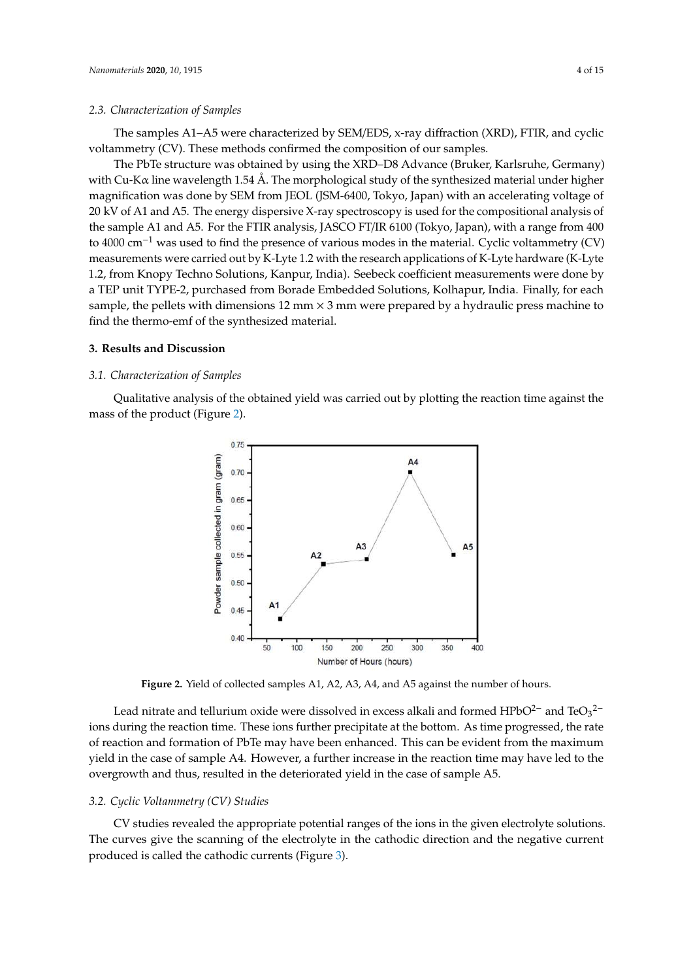#### *2.3. Characterization of Samples*

The samples A1–A5 were characterized by SEM/EDS, x-ray diffraction (XRD), FTIR, and cyclic voltammetry (CV). These methods confirmed the composition of our samples.

The PbTe structure was obtained by using the XRD–D8 Advance (Bruker, Karlsruhe, Germany) α with Cu-K $\alpha$  line wavelength 1.54 Å. The morphological study of the synthesized material under higher magnification was done by SEM from JEOL (JSM-6400, Tokyo, Japan) with an accelerating voltage of 20 kV of A1 and A5. The energy dispersive X-ray spectroscopy is used for the compositional analysis of the sample A1 and A5. For the FTIR analysis, JASCO FT/IR 6100 (Tokyo, Japan), with a range from 400 to 4000 cm−<sup>1</sup> was used to find the presence of various modes in the material. Cyclic voltammetry (CV) measurements were carried out by K-Lyte 1.2 with the research applications of K-Lyte hardware (K-Lyte 1.2, from Knopy Techno Solutions, Kanpur, India). Seebeck coefficient measurements were done by a TEP unit TYPE-2, purchased from Borade Embedded Solutions, Kolhapur, India. Finally, for each sample, the pellets with dimensions 12 mm  $\times$  3 mm were prepared by a hydraulic press machine to find the thermo-emf of the synthesized material.

#### **3. Results and Discussion**

#### *3.1. Characterization of Samples*

Qualitative analysis of the obtained yield was carried out by plotting the reaction time against the mass of the product (Figure 2).



**Figure 2.** Yield of collected samples A1, A2, A3, A4, and A5 against the number of hours.

Lead nitrate and tellurium oxide were dissolved in excess alkali and formed HPbO<sup>2−</sup> and TeO<sub>3</sub><sup>2−</sup> ions during the reaction time. These ions further precipitate at the bottom. As time progressed, the rate of reaction and formation of PbTe may have been enhanced. This can be evident from the maximum yield in the case of sample A4. However, a further increase in the reaction time may have led to the overgrowth and thus, resulted in the deteriorated yield in the case of sample A5.

#### *3.2. Cyclic Voltammetry (CV) Studies*

CV studies revealed the appropriate potential ranges of the ions in the given electrolyte solutions. The curves give the scanning of the electrolyte in the cathodic direction and the negative current produced is called the cathodic currents (Figure 3).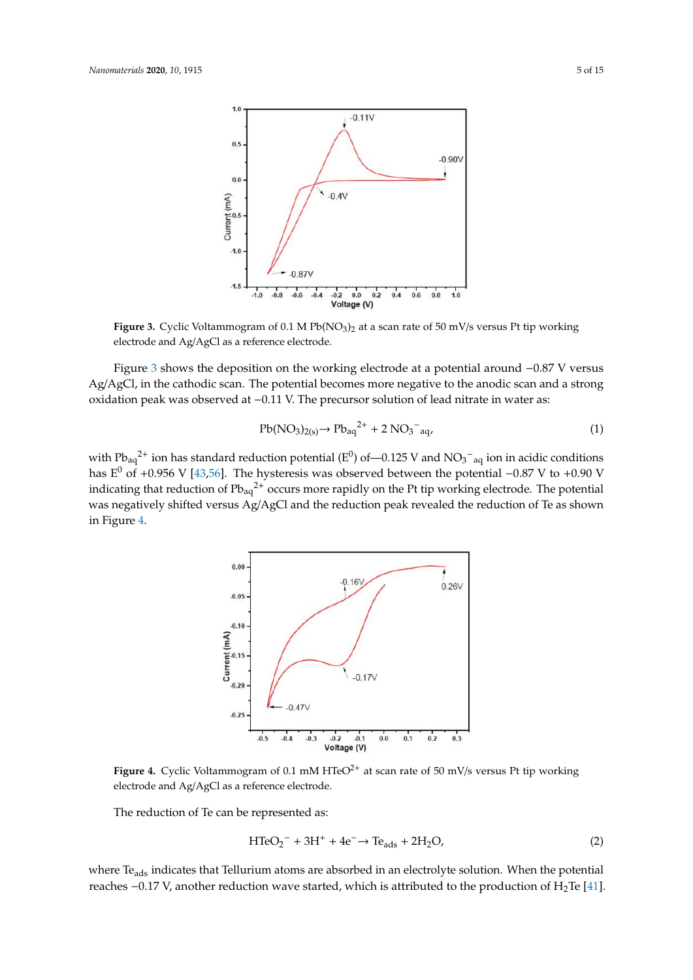

**Figure 3.** Cyclic Voltammogram of 0.1 M Pb(NO<sub>3</sub>)<sub>2</sub> at a scan rate of 50 mV/s versus Pt tip working electrode and Ag/AgCl as a reference electrode.

− Ag/AgCl, in the cathodic scan. The potential becomes more negative to the anodic scan and a strong Figure 3 shows the deposition on the working electrode at a potential around −0.87 V versus oxidation peak was observed at -0.11 V. The precursor solution of lead nitrate in water as:

$$
Pb(NO_3)_{2(s)} \to Pb_{aq}^{2+} + 2 NO_3^-_{aq},
$$
\n(1)

with  $Pb_{aq}^{2+}$  ion has standard reduction potential (E<sup>0</sup>) of—0.125 V and  $NO_3^-$ <sub>aq</sub> ion in acidic conditions has  $E^0$  of +0.956 V [43,56]. The hysteresis was observed between the potential -0.87 V to +0.90 V indicating that reduction of  $Pb_{aq}^{2+}$  occurs more rapidly on the Pt tip working electrode. The potential was negatively shifted versus Ag/AgCl and the reduction peak revealed the reduction of Te as shown in Figure 4.



**Figure 4.** Cyclic Voltammogram of 0.1 mM HTeO<sup>2+</sup> at scan rate of 50 mV/s versus Pt tip working electrode and Ag/AgCl as a reference electrode.

The reduction of Te can be represented as:

$$
HTeO2- + 3H+ + 4e- \rightarrow Teads + 2H2O,
$$
\n(2)

reaches −0.17 V, another reduction wave started, which is attributed to the production of H<sub>2</sub>Te [41]. where Te<sub>ads</sub> indicates that Tellurium atoms are absorbed in an electrolyte solution. When the potential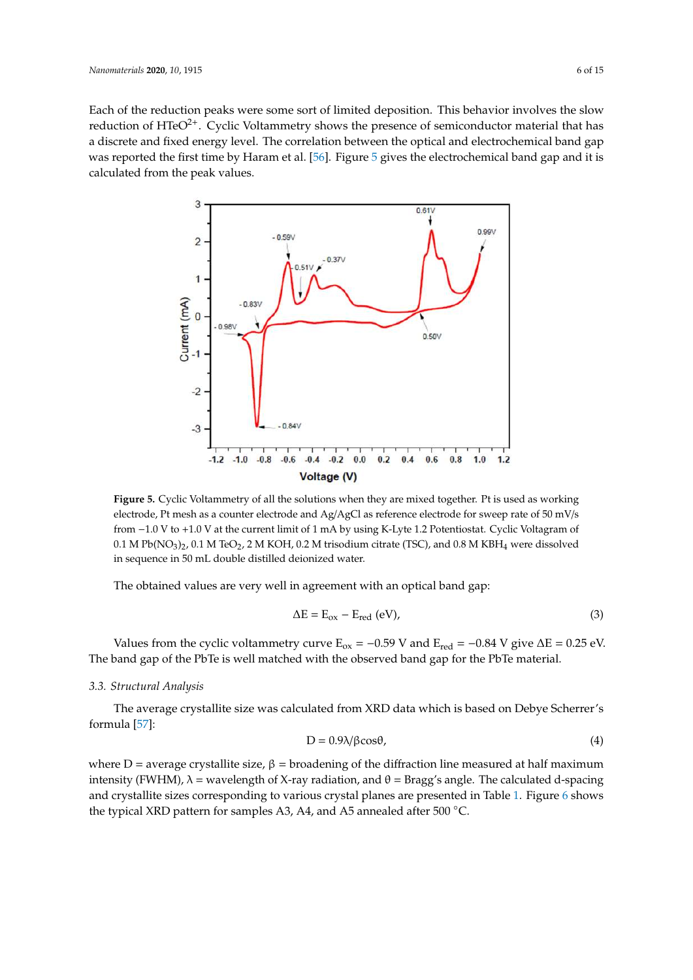Each of the reduction peaks were some sort of limited deposition. This behavior involves the slow reduction of HTeO $^{2+}$ . Cyclic Voltammetry shows the presence of semiconductor material that has a discrete and fixed energy level. The correlation between the optical and electrochemical band gap was reported the first time by Haram et al. [56]. Figure 5 gives the electrochemical band gap and it is calculated from the peak values.



0.1 M Pb(NO<sub>3</sub>)<sub>2</sub>, 0.1 M TeO<sub>2</sub>, 2 M KOH, 0.2 M trisodium citrate (TSC), and 0.8 M KBH<sub>4</sub> were dissolved **Figure 5.** Cyclic Voltammetry of all the solutions when they are mixed together. Pt is used as working electrode, Pt mesh as a counter electrode and Ag/AgCl as reference electrode for sweep rate of 50 mV/s from −1.0 V to +1.0 V at the current limit of 1 mA by using K-Lyte 1.2 Potentiostat. Cyclic Voltagram of in sequence in 50 mL double distilled deionized water.

The obtained values are very well in agreement with an optical band gap:

$$
\Delta E = E_{ox} - E_{red} (eV), \qquad (3)
$$

Values from the cyclic voltammetry curve  $E_{ox} = -0.59$  V and  $E_{red} = -0.84$  V give  $\Delta E = 0.25$  eV. The band gap of the PbTe is well matched with the observed band gap for the PbTe material.

#### *3.3. Structural Analysis*

The average crystallite size was calculated from XRD data which is based on Debye Scherrer's formula [57]:

$$
D = 0.9\lambda/\beta\cos\theta,\tag{4}
$$

λ β θ intensity (FWHM),  $\lambda$  = wavelength of X-ray radiation, and  $\theta$  = Bragg's angle. The calculated d-spacing and crystallite sizes corresponding to various crystal planes are presented in Table 1. Figure 6 shows where D = average crystallite size,  $\beta$  = broadening of the diffraction line measured at half maximum the typical XRD pattern for samples A3, A4, and A5 annealed after 500 ◦C.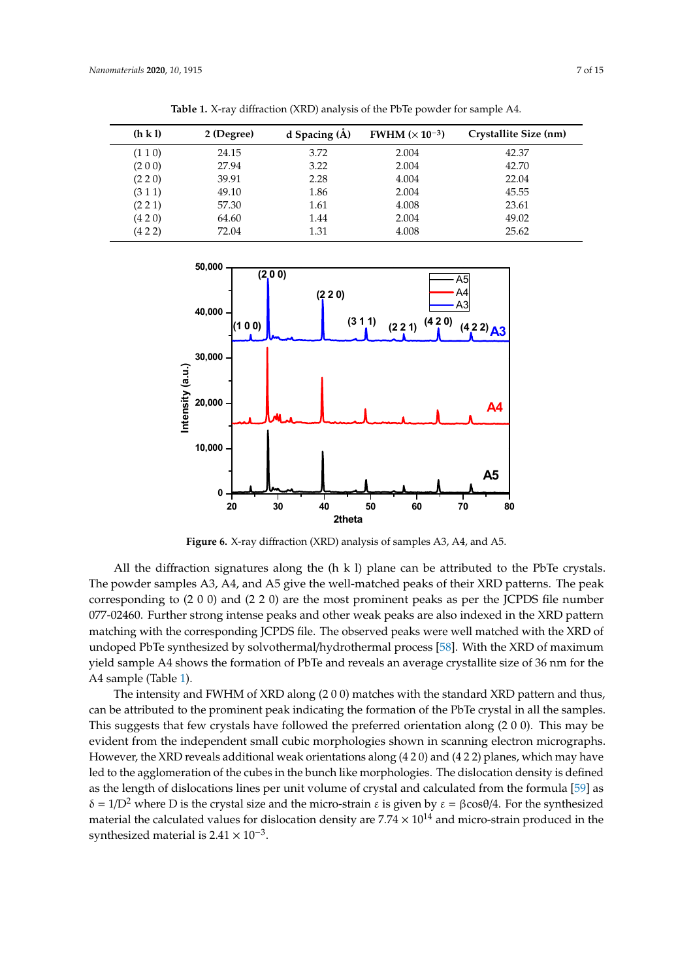| (h k l) | 2 (Degree) | d Spacing $(A)$ | FWHM $(\times 10^{-3})$ | Crystallite Size (nm) |
|---------|------------|-----------------|-------------------------|-----------------------|
| (110)   | 24.15      | 3.72            | 2.004                   | 42.37                 |
| (200)   | 27.94      | 3.22            | 2.004                   | 42.70                 |
| (2 2 0) | 39.91      | 2.28            | 4.004                   | 22.04                 |
| (311)   | 49.10      | 1.86            | 2.004                   | 45.55                 |
| (2 2 1) | 57.30      | 1.61            | 4.008                   | 23.61                 |
| (420)   | 64.60      | 1.44            | 2.004                   | 49.02                 |
| (422)   | 72.04      | 1.31            | 4.008                   | 25.62                 |

**Table 1.** X-ray diffraction (XRD) analysis of the PbTe powder for sample A4.



**Figure 6.** X-ray diffraction (XRD) analysis of samples A3, A4, and A5.

All the diffraction signatures along the  $(h k l)$  plane can be attributed to the PbTe crystals. The powder samples A3, A4, and A5 give the well-matched peaks of their XRD patterns. The peak corresponding to (2 0 0) and (2 2 0) are the most prominent peaks as per the JCPDS file number 077-02460. Further strong intense peaks and other weak peaks are also indexed in the XRD pattern matching with the corresponding JCPDS file. The observed peaks were well matched with the XRD of undoped PbTe synthesized by solvothermal/hydrothermal process [58]. With the XRD of maximum yield sample A4 shows the formation of PbTe and reveals an average crystallite size of 36 nm for the A4 sample (Table 1).

**−** evident from the independent small cubic morphologies shown in scanning electron micrographs. The intensity and FWHM of XRD along (2 0 0) matches with the standard XRD pattern and thus, can be attributed to the prominent peak indicating the formation of the PbTe crystal in all the samples. This suggests that few crystals have followed the preferred orientation along (2 0 0). This may be However, the XRD reveals additional weak orientations along (4 2 0) and (4 2 2) planes, which may have led to the agglomeration of the cubes in the bunch like morphologies. The dislocation density is defined as the length of dislocations lines per unit volume of crystal and calculated from the formula [59] as  $δ = 1/D<sup>2</sup>$  where D is the crystal size and the micro-strain ε is given by  $ε = β cosθ/4$ . For the synthesized material the calculated values for dislocation density are  $7.74 \times 10^{14}$  and micro-strain produced in the synthesized material is  $2.41 \times 10^{-3}$ .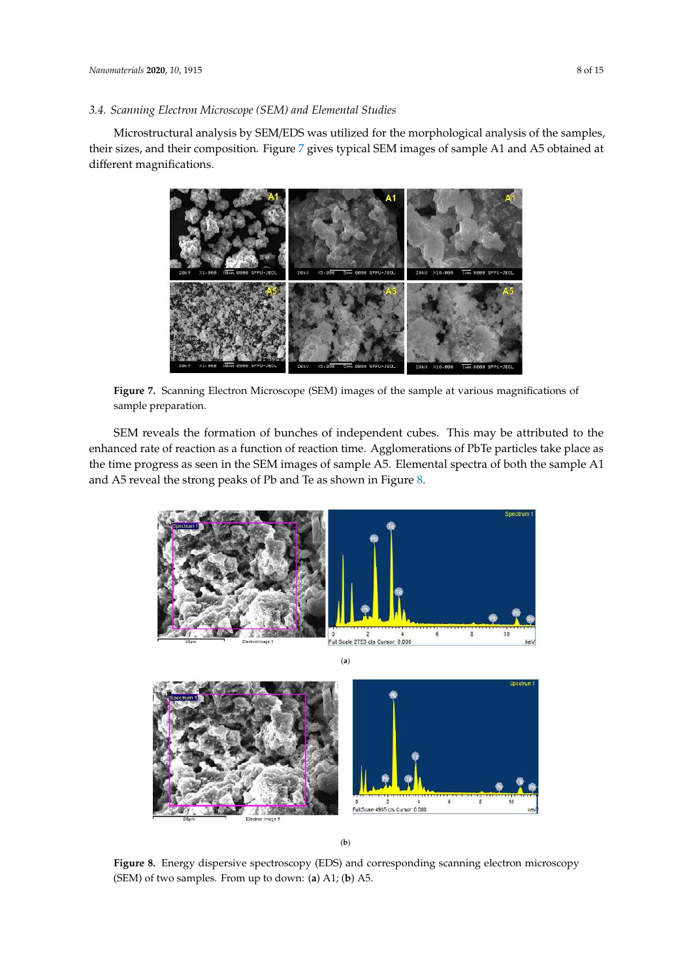#### *3.4. Scanning Electron Microscope (SEM) and Elemental Studies*

Microstructural analysis by SEM/EDS was utilized for the morphological analysis of the samples, their sizes, and their composition. Figure 7 gives typical SEM images of sample A1 and A5 obtained at different magnifications.



**Figure 7.** Scanning Electron Microscope (SEM) images of the sample at various magnifications of sample preparation.

SEM reveals the formation of bunches of independent cubes. This may be attributed to the enhanced rate of reaction as a function of reaction time. Agglomerations of PbTe particles take place as the time progress as seen in the SEM images of sample A5. Elemental spectra of both the sample A1 and A5 reveal the strong peaks of Pb and Te as shown in Figure 8.



(**b**)

**Figure 8.** Energy dispersive spectroscopy (EDS) and corresponding scanning electron microscopy (SEM) of two samples. From up to down: (**a**) A1; (**b**) A5.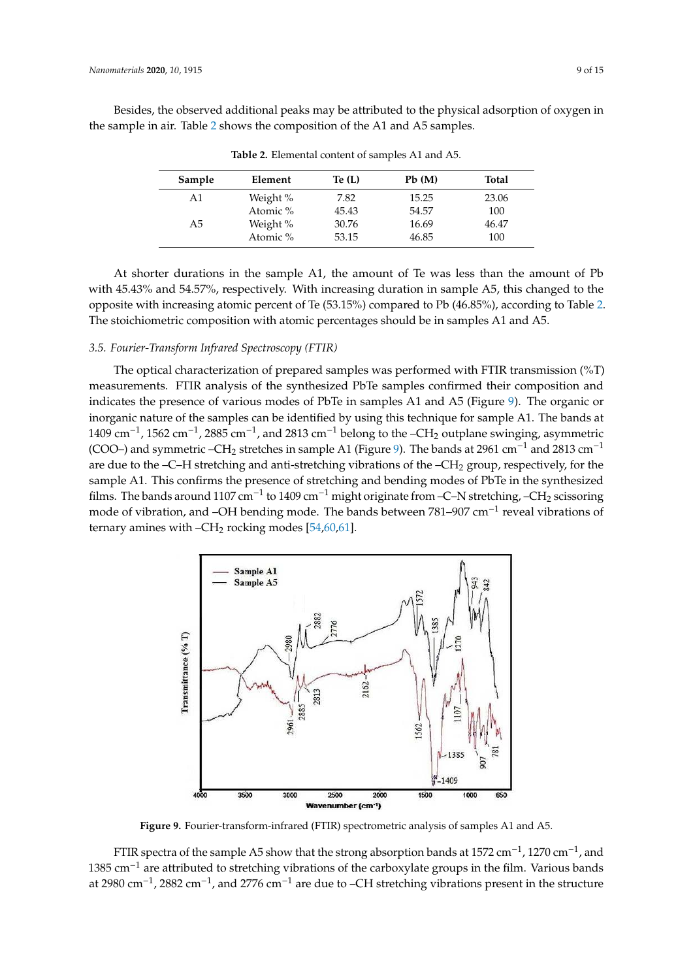Besides, the observed additional peaks may be attributed to the physical adsorption of oxygen in the sample in air. Table 2 shows the composition of the A1 and A5 samples.

| Sample | Element  | Te (L) | Pb(M) | Total |
|--------|----------|--------|-------|-------|
| A1     | Weight % | 7.82   | 15.25 | 23.06 |
|        | Atomic % | 45.43  | 54.57 | 100   |
| A5     | Weight % | 30.76  | 16.69 | 46.47 |
|        | Atomic % | 53.15  | 46.85 | 100   |

**Table 2.** Elemental content of samples A1 and A5.

At shorter durations in the sample A1, the amount of Te was less than the amount of Pb with 45.43% and 54.57%, respectively. With increasing duration in sample A5, this changed to the opposite with increasing atomic percent of Te (53.15%) compared to Pb (46.85%), according to Table 2. The stoichiometric composition with atomic percentages should be in samples A1 and A5.

#### *3.5. Fourier-Transform Infrared Spectroscopy (FTIR)*

The optical characterization of prepared samples was performed with FTIR transmission (%T) measurements. FTIR analysis of the synthesized PbTe samples confirmed their composition and indicates the presence of various modes of PbTe in samples A1 and A5 (Figure 9). The organic or inorganic nature of the samples can be identified by using this technique for sample A1. The bands at 1409 cm<sup>-1</sup>, 1562 cm<sup>-1</sup>, 2885 cm<sup>-1</sup>, and 2813 cm<sup>-1</sup> belong to the -CH<sub>2</sub> outplane swinging, asymmetric (COO–) and symmetric –CH<sub>2</sub> stretches in sample A1 (Figure 9). The bands at 2961 cm<sup>-1</sup> and 2813 cm<sup>-1</sup> are due to the  $-C-H$  stretching and anti-stretching vibrations of the  $-CH<sub>2</sub>$  group, respectively, for the sample A1. This confirms the presence of stretching and bending modes of PbTe in the synthesized films. The bands around 1107 cm−<sup>1</sup> to 1409 cm−<sup>1</sup> might originate from –C–N stretching, –CH<sup>2</sup> scissoring mode of vibration, and –OH bending mode. The bands between 781–907 cm<sup>-1</sup> reveal vibrations of ternary amines with  $-CH<sub>2</sub>$  rocking modes [54,60,61].



**Figure 9.** Fourier-transform-infrared (FTIR) spectrometric analysis of samples A1 and A5.

FTIR spectra of the sample A5 show that the strong absorption bands at 1572 cm<sup>-1</sup>, 1270 cm<sup>-1</sup>, and 1385 cm<sup>-1</sup> are attributed to stretching vibrations of the carboxylate groups in the film. Various bands at 2980 cm−<sup>1</sup> , 2882 cm−<sup>1</sup> , and 2776 cm−<sup>1</sup> are due to –CH stretching vibrations present in the structure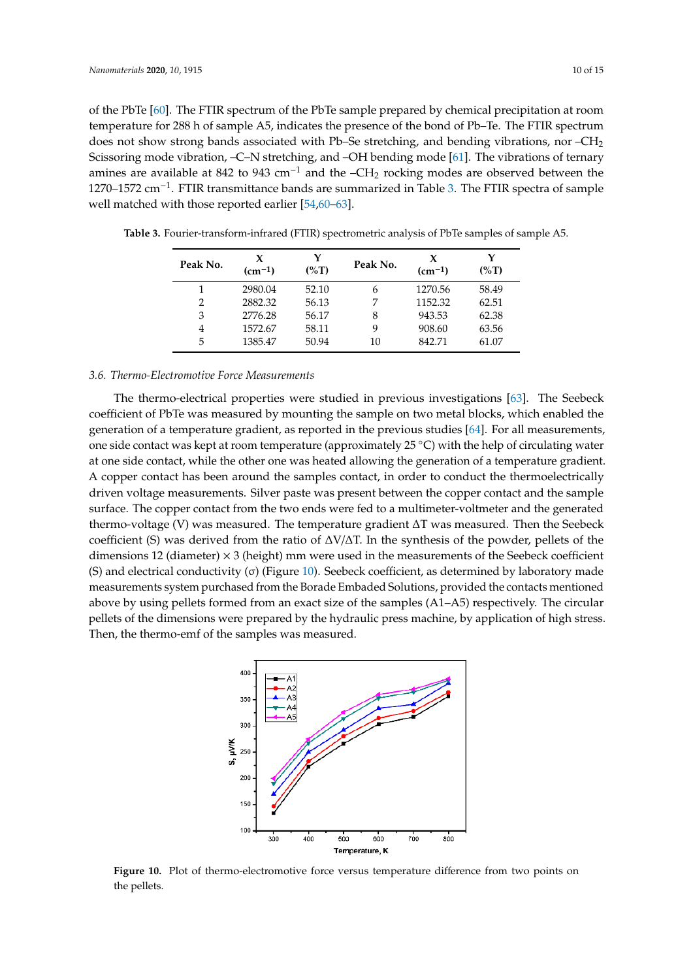of the PbTe [60]. The FTIR spectrum of the PbTe sample prepared by chemical precipitation at room temperature for 288 h of sample A5, indicates the presence of the bond of Pb–Te. The FTIR spectrum does not show strong bands associated with Pb–Se stretching, and bending vibrations, nor  $-CH<sub>2</sub>$ Scissoring mode vibration, –C–N stretching, and –OH bending mode [61]. The vibrations of ternary amines are available at 842 to 943 cm<sup>-1</sup> and the –CH<sub>2</sub> rocking modes are observed between the 1270–1572 cm−<sup>1</sup> . FTIR transmittance bands are summarized in Table 3. The FTIR spectra of sample well matched with those reported earlier [54,60–63].

| Peak No.       | X<br>$(cm^{-1})$ | Y<br>$(\%T)$ | Peak No. | X<br>$\rm (cm^{-1})$ | $(\%T)$ |
|----------------|------------------|--------------|----------|----------------------|---------|
|                | 2980.04          | 52.10        | 6        | 1270.56              | 58.49   |
| $\overline{2}$ | 2882.32          | 56.13        | 7        | 1152.32              | 62.51   |
| 3              | 2776.28          | 56.17        | 8        | 943.53               | 62.38   |
| 4              | 1572.67          | 58.11        | 9        | 908.60               | 63.56   |
| 5              | 1385.47          | 50.94        | 10       | 842.71               | 61.07   |

**Table 3.** Fourier-transform-infrared (FTIR) spectrometric analysis of PbTe samples of sample A5.

#### *3.6. Thermo-Electromotive Force Measurements*

The thermo-electrical properties were studied in previous investigations [63]. The Seebeck coefficient of PbTe was measured by mounting the sample on two metal blocks, which enabled the generation of a temperature gradient, as reported in the previous studies [64]. For all measurements, one side contact was kept at room temperature (approximately 25 ◦C) with the help of circulating water at one side contact, while the other one was heated allowing the generation of a temperature gradient. A copper contact has been around the samples contact, in order to conduct the thermoelectrically driven voltage measurements. Silver paste was present between the copper contact and the sample surface. The copper contact from the two ends were fed to a multimeter-voltmeter and the generated thermo-voltage (V) was measured. The temperature gradient ∆T was measured. Then the Seebeck coefficient (S) was derived from the ratio of  $\Delta V/\Delta T$ . In the synthesis of the powder, pellets of the dimensions 12 (diameter)  $\times$  3 (height) mm were used in the measurements of the Seebeck coefficient (S) and electrical conductivity ( $\sigma$ ) (Figure 10). Seebeck coefficient, as determined by laboratory made measurements system purchased from the Borade Embaded Solutions, provided the contacts mentioned above by using pellets formed from an exact size of the samples (A1–A5) respectively. The circular pellets of the dimensions were prepared by the hydraulic press machine, by application of high stress. Then, the thermo-emf of the samples was measured.



**Figure 10.** Plot of thermo-electromotive force versus temperature difference from two points on the pellets.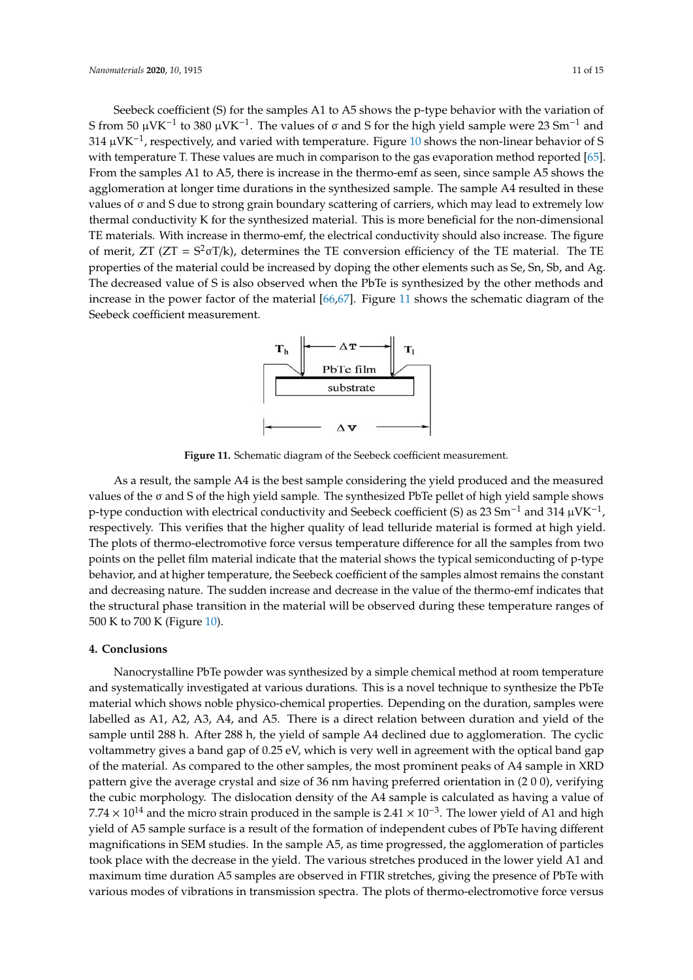Seebeck coefficient measurement.

Seebeck coefficient (S) for the samples A1 to A5 shows the p-type behavior with the variation of S from 50  $\mu$ VK<sup>-1</sup> to 380  $\mu$ VK<sup>-1</sup>. The values of  $\sigma$  and S for the high yield sample were 23 Sm<sup>-1</sup> and 314 µVK−<sup>1</sup> , respectively, and varied with temperature. Figure 10 shows the non-linear behavior of S with temperature T. These values are much in comparison to the gas evaporation method reported [65]. From the samples A1 to A5, there is increase in the thermo-emf as seen, since sample A5 shows the agglomeration at longer time durations in the synthesized sample. The sample A4 resulted in these values of σ and S due to strong grain boundary scattering of carriers, which may lead to extremely low thermal conductivity K for the synthesized material. This is more beneficial for the non-dimensional TE materials. With increase in thermo-emf, the electrical conductivity should also increase. The figure of merit,  $ZT (ZT = S^2 \sigma T/k)$ , determines the TE conversion efficiency of the TE material. The TE properties of the material could be increased by doping the other elements such as Se, Sn, Sb, and Ag. The decreased value of S is also observed when the PbTe is synthesized by the other methods and increase in the power factor of the material [66,67]. Figure 11 shows the schematic diagram of the



**Figure 11.** Schematic diagram of the Seebeck coefficient measurement.

values of the σ and S of the high yield sample. The synthesized PbTe pellet of high yield sample shows p-type conduction with electrical conductivity and Seebeck coefficient (S) as 23 Sm<sup>-1</sup> and 314  $\mu$ VK<sup>-1</sup>, − respectively. This verifies that the higher quality of lead telluride material is formed at high yield. As a result, the sample A4 is the best sample considering the yield produced and the measured The plots of thermo-electromotive force versus temperature difference for all the samples from two points on the pellet film material indicate that the material shows the typical semiconducting of p-type behavior, and at higher temperature, the Seebeck coefficient of the samples almost remains the constant and decreasing nature. The sudden increase and decrease in the value of the thermo-emf indicates that the structural phase transition in the material will be observed during these temperature ranges of 500 K to 700 K (Figure 10).

#### **4. Conclusions**

7.74 × 10<sup>14</sup> and the micro strain produced in the sample is 2.41 × 10<sup>-3</sup>. The lower yield of A1 and high Nanocrystalline PbTe powder was synthesized by a simple chemical method at room temperature and systematically investigated at various durations. This is a novel technique to synthesize the PbTe material which shows noble physico-chemical properties. Depending on the duration, samples were labelled as A1, A2, A3, A4, and A5. There is a direct relation between duration and yield of the sample until 288 h. After 288 h, the yield of sample A4 declined due to agglomeration. The cyclic voltammetry gives a band gap of 0.25 eV, which is very well in agreement with the optical band gap of the material. As compared to the other samples, the most prominent peaks of A4 sample in XRD pattern give the average crystal and size of 36 nm having preferred orientation in (2 0 0), verifying the cubic morphology. The dislocation density of the A4 sample is calculated as having a value of yield of A5 sample surface is a result of the formation of independent cubes of PbTe having different magnifications in SEM studies. In the sample A5, as time progressed, the agglomeration of particles took place with the decrease in the yield. The various stretches produced in the lower yield A1 and maximum time duration A5 samples are observed in FTIR stretches, giving the presence of PbTe with various modes of vibrations in transmission spectra. The plots of thermo-electromotive force versus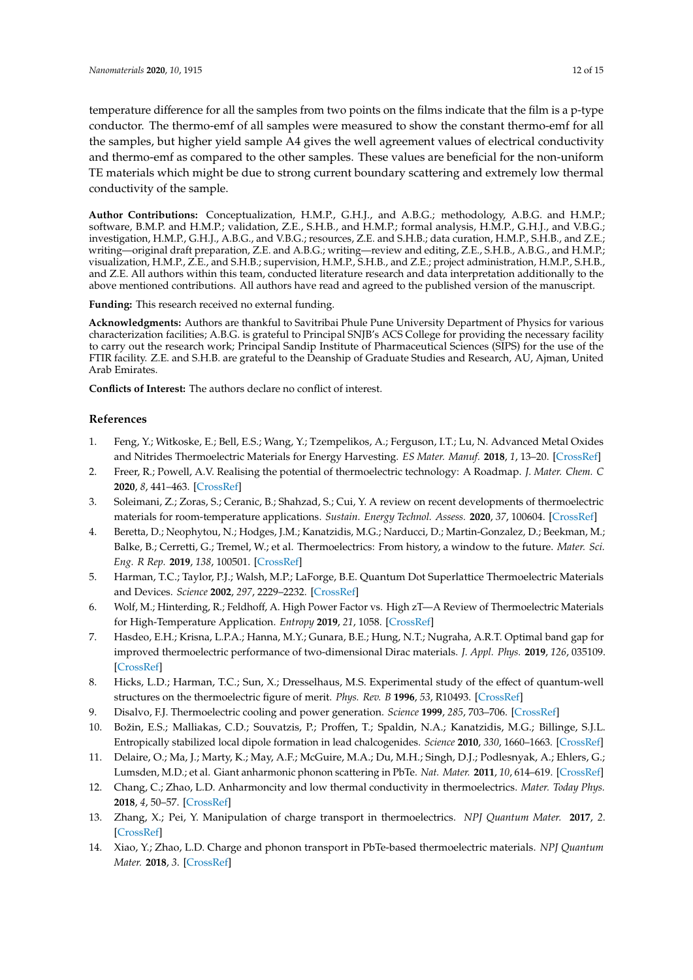temperature difference for all the samples from two points on the films indicate that the film is a p-type conductor. The thermo-emf of all samples were measured to show the constant thermo-emf for all the samples, but higher yield sample A4 gives the well agreement values of electrical conductivity and thermo-emf as compared to the other samples. These values are beneficial for the non-uniform TE materials which might be due to strong current boundary scattering and extremely low thermal conductivity of the sample.

**Author Contributions:** Conceptualization, H.M.P., G.H.J., and A.B.G.; methodology, A.B.G. and H.M.P.; software, B.M.P. and H.M.P.; validation, Z.E., S.H.B., and H.M.P.; formal analysis, H.M.P., G.H.J., and V.B.G.; investigation, H.M.P., G.H.J., A.B.G., and V.B.G.; resources, Z.E. and S.H.B.; data curation, H.M.P., S.H.B., and Z.E.; writing—original draft preparation, Z.E. and A.B.G.; writing—review and editing, Z.E., S.H.B., A.B.G., and H.M.P.; visualization, H.M.P., Z.E., and S.H.B.; supervision, H.M.P., S.H.B., and Z.E.; project administration, H.M.P., S.H.B., and Z.E. All authors within this team, conducted literature research and data interpretation additionally to the above mentioned contributions. All authors have read and agreed to the published version of the manuscript.

**Funding:** This research received no external funding.

**Acknowledgments:** Authors are thankful to Savitribai Phule Pune University Department of Physics for various characterization facilities; A.B.G. is grateful to Principal SNJB's ACS College for providing the necessary facility to carry out the research work; Principal Sandip Institute of Pharmaceutical Sciences (SIPS) for the use of the FTIR facility. Z.E. and S.H.B. are grateful to the Deanship of Graduate Studies and Research, AU, Ajman, United Arab Emirates.

**Conflicts of Interest:** The authors declare no conflict of interest.

### **References**

- 1. Feng, Y.; Witkoske, E.; Bell, E.S.; Wang, Y.; Tzempelikos, A.; Ferguson, I.T.; Lu, N. Advanced Metal Oxides and Nitrides Thermoelectric Materials for Energy Harvesting. *ES Mater. Manuf.* **2018**, *1*, 13–20. [CrossRef]
- 2. Freer, R.; Powell, A.V. Realising the potential of thermoelectric technology: A Roadmap. *J. Mater. Chem. C* **2020**, *8*, 441–463. [CrossRef]
- 3. Soleimani, Z.; Zoras, S.; Ceranic, B.; Shahzad, S.; Cui, Y. A review on recent developments of thermoelectric materials for room-temperature applications. *Sustain. Energy Technol. Assess.* **2020**, *37*, 100604. [CrossRef]
- 4. Beretta, D.; Neophytou, N.; Hodges, J.M.; Kanatzidis, M.G.; Narducci, D.; Martin-Gonzalez, D.; Beekman, M.; Balke, B.; Cerretti, G.; Tremel, W.; et al. Thermoelectrics: From history, a window to the future. *Mater. Sci. Eng. R Rep.* **2019**, *138*, 100501. [CrossRef]
- 5. Harman, T.C.; Taylor, P.J.; Walsh, M.P.; LaForge, B.E. Quantum Dot Superlattice Thermoelectric Materials and Devices. *Science* **2002**, *297*, 2229–2232. [CrossRef]
- 6. Wolf, M.; Hinterding, R.; Feldhoff, A. High Power Factor vs. High zT—A Review of Thermoelectric Materials for High-Temperature Application. *Entropy* **2019**, *21*, 1058. [CrossRef]
- 7. Hasdeo, E.H.; Krisna, L.P.A.; Hanna, M.Y.; Gunara, B.E.; Hung, N.T.; Nugraha, A.R.T. Optimal band gap for improved thermoelectric performance of two-dimensional Dirac materials. *J. Appl. Phys.* **2019**, *126*, 035109. [CrossRef]
- 8. Hicks, L.D.; Harman, T.C.; Sun, X.; Dresselhaus, M.S. Experimental study of the effect of quantum-well structures on the thermoelectric figure of merit. *Phys. Rev. B* **1996**, *53*, R10493. [CrossRef]
- 9. Disalvo, F.J. Thermoelectric cooling and power generation. *Science* **1999**, *285*, 703–706. [CrossRef]
- 10. Božin, E.S.; Malliakas, C.D.; Souvatzis, P.; Proffen, T.; Spaldin, N.A.; Kanatzidis, M.G.; Billinge, S.J.L. Entropically stabilized local dipole formation in lead chalcogenides. *Science* **2010**, *330*, 1660–1663. [CrossRef]
- 11. Delaire, O.; Ma, J.; Marty, K.; May, A.F.; McGuire, M.A.; Du, M.H.; Singh, D.J.; Podlesnyak, A.; Ehlers, G.; Lumsden, M.D.; et al. Giant anharmonic phonon scattering in PbTe. *Nat. Mater.* **2011**, *10*, 614–619. [CrossRef]
- 12. Chang, C.; Zhao, L.D. Anharmoncity and low thermal conductivity in thermoelectrics. *Mater. Today Phys.* **2018**, *4*, 50–57. [CrossRef]
- 13. Zhang, X.; Pei, Y. Manipulation of charge transport in thermoelectrics. *NPJ Quantum Mater.* **2017**, *2*. [CrossRef]
- 14. Xiao, Y.; Zhao, L.D. Charge and phonon transport in PbTe-based thermoelectric materials. *NPJ Quantum Mater.* **2018**, *3*. [CrossRef]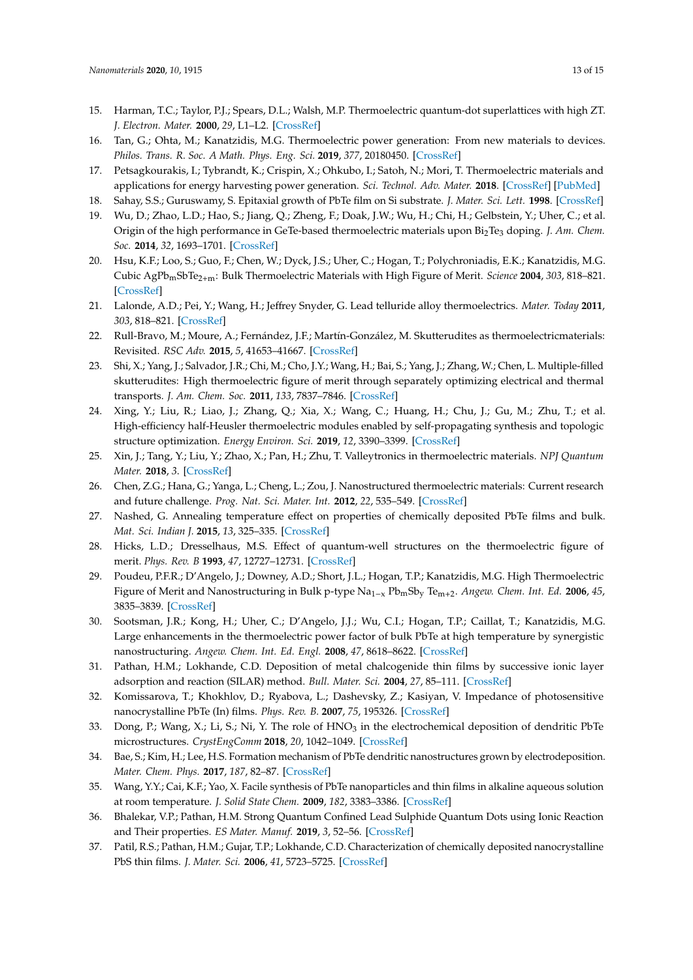- 15. Harman, T.C.; Taylor, P.J.; Spears, D.L.; Walsh, M.P. Thermoelectric quantum-dot superlattices with high ZT. *J. Electron. Mater.* **2000**, *29*, L1–L2. [CrossRef]
- 16. Tan, G.; Ohta, M.; Kanatzidis, M.G. Thermoelectric power generation: From new materials to devices. *Philos. Trans. R. Soc. A Math. Phys. Eng. Sci.* **2019**, *377*, 20180450. [CrossRef]
- 17. Petsagkourakis, I.; Tybrandt, K.; Crispin, X.; Ohkubo, I.; Satoh, N.; Mori, T. Thermoelectric materials and applications for energy harvesting power generation. *Sci. Technol. Adv. Mater.* **2018**. [CrossRef] [PubMed]
- 18. Sahay, S.S.; Guruswamy, S. Epitaxial growth of PbTe film on Si substrate. *J. Mater. Sci. Lett.* **1998**. [CrossRef]
- 19. Wu, D.; Zhao, L.D.; Hao, S.; Jiang, Q.; Zheng, F.; Doak, J.W.; Wu, H.; Chi, H.; Gelbstein, Y.; Uher, C.; et al. Origin of the high performance in GeTe-based thermoelectric materials upon Bi2Te<sup>3</sup> doping. *J. Am. Chem. Soc.* **2014**, *32*, 1693–1701. [CrossRef]
- 20. Hsu, K.F.; Loo, S.; Guo, F.; Chen, W.; Dyck, J.S.; Uher, C.; Hogan, T.; Polychroniadis, E.K.; Kanatzidis, M.G. Cubic AgPbmSbTe2+m: Bulk Thermoelectric Materials with High Figure of Merit. *Science* **2004**, *303*, 818–821. [CrossRef]
- 21. Lalonde, A.D.; Pei, Y.; Wang, H.; Jeffrey Snyder, G. Lead telluride alloy thermoelectrics. *Mater. Today* **2011**, *303*, 818–821. [CrossRef]
- 22. Rull-Bravo, M.; Moure, A.; Fernández, J.F.; Martín-González, M. Skutterudites as thermoelectricmaterials: Revisited. *RSC Adv.* **2015**, *5*, 41653–41667. [CrossRef]
- 23. Shi, X.; Yang, J.; Salvador, J.R.; Chi, M.; Cho, J.Y.; Wang, H.; Bai, S.; Yang, J.; Zhang, W.; Chen, L. Multiple-filled skutterudites: High thermoelectric figure of merit through separately optimizing electrical and thermal transports. *J. Am. Chem. Soc.* **2011**, *133*, 7837–7846. [CrossRef]
- 24. Xing, Y.; Liu, R.; Liao, J.; Zhang, Q.; Xia, X.; Wang, C.; Huang, H.; Chu, J.; Gu, M.; Zhu, T.; et al. High-efficiency half-Heusler thermoelectric modules enabled by self-propagating synthesis and topologic structure optimization. *Energy Environ. Sci.* **2019**, *12*, 3390–3399. [CrossRef]
- 25. Xin, J.; Tang, Y.; Liu, Y.; Zhao, X.; Pan, H.; Zhu, T. Valleytronics in thermoelectric materials. *NPJ Quantum Mater.* **2018**, *3*. [CrossRef]
- 26. Chen, Z.G.; Hana, G.; Yanga, L.; Cheng, L.; Zou, J. Nanostructured thermoelectric materials: Current research and future challenge. *Prog. Nat. Sci. Mater. Int.* **2012**, *22*, 535–549. [CrossRef]
- 27. Nashed, G. Annealing temperature effect on properties of chemically deposited PbTe films and bulk. *Mat. Sci. Indian J.* **2015**, *13*, 325–335. [CrossRef]
- 28. Hicks, L.D.; Dresselhaus, M.S. Effect of quantum-well structures on the thermoelectric figure of merit. *Phys. Rev. B* **1993**, *47*, 12727–12731. [CrossRef]
- 29. Poudeu, P.F.R.; D'Angelo, J.; Downey, A.D.; Short, J.L.; Hogan, T.P.; Kanatzidis, M.G. High Thermoelectric Figure of Merit and Nanostructuring in Bulk p-type Na1−<sup>x</sup> PbmSb<sup>y</sup> Tem+<sup>2</sup> . *Angew. Chem. Int. Ed.* **2006**, *45*, 3835–3839. [CrossRef]
- 30. Sootsman, J.R.; Kong, H.; Uher, C.; D'Angelo, J.J.; Wu, C.I.; Hogan, T.P.; Caillat, T.; Kanatzidis, M.G. Large enhancements in the thermoelectric power factor of bulk PbTe at high temperature by synergistic nanostructuring. *Angew. Chem. Int. Ed. Engl.* **2008**, *47*, 8618–8622. [CrossRef]
- 31. Pathan, H.M.; Lokhande, C.D. Deposition of metal chalcogenide thin films by successive ionic layer adsorption and reaction (SILAR) method. *Bull. Mater. Sci.* **2004**, *27*, 85–111. [CrossRef]
- 32. Komissarova, T.; Khokhlov, D.; Ryabova, L.; Dashevsky, Z.; Kasiyan, V. Impedance of photosensitive nanocrystalline PbTe (In) films. *Phys. Rev. B.* **2007**, *75*, 195326. [CrossRef]
- 33. Dong, P.; Wang, X.; Li, S.; Ni, Y. The role of  $HNO<sub>3</sub>$  in the electrochemical deposition of dendritic PbTe microstructures. *CrystEngComm* **2018**, *20*, 1042–1049. [CrossRef]
- 34. Bae, S.; Kim, H.; Lee, H.S. Formation mechanism of PbTe dendritic nanostructures grown by electrodeposition. *Mater. Chem. Phys.* **2017**, *187*, 82–87. [CrossRef]
- 35. Wang, Y.Y.; Cai, K.F.; Yao, X. Facile synthesis of PbTe nanoparticles and thin films in alkaline aqueous solution at room temperature. *J. Solid State Chem.* **2009**, *182*, 3383–3386. [CrossRef]
- 36. Bhalekar, V.P.; Pathan, H.M. Strong Quantum Confined Lead Sulphide Quantum Dots using Ionic Reaction and Their properties. *ES Mater. Manuf.* **2019**, *3*, 52–56. [CrossRef]
- 37. Patil, R.S.; Pathan, H.M.; Gujar, T.P.; Lokhande, C.D. Characterization of chemically deposited nanocrystalline PbS thin films. *J. Mater. Sci.* **2006**, *41*, 5723–5725. [CrossRef]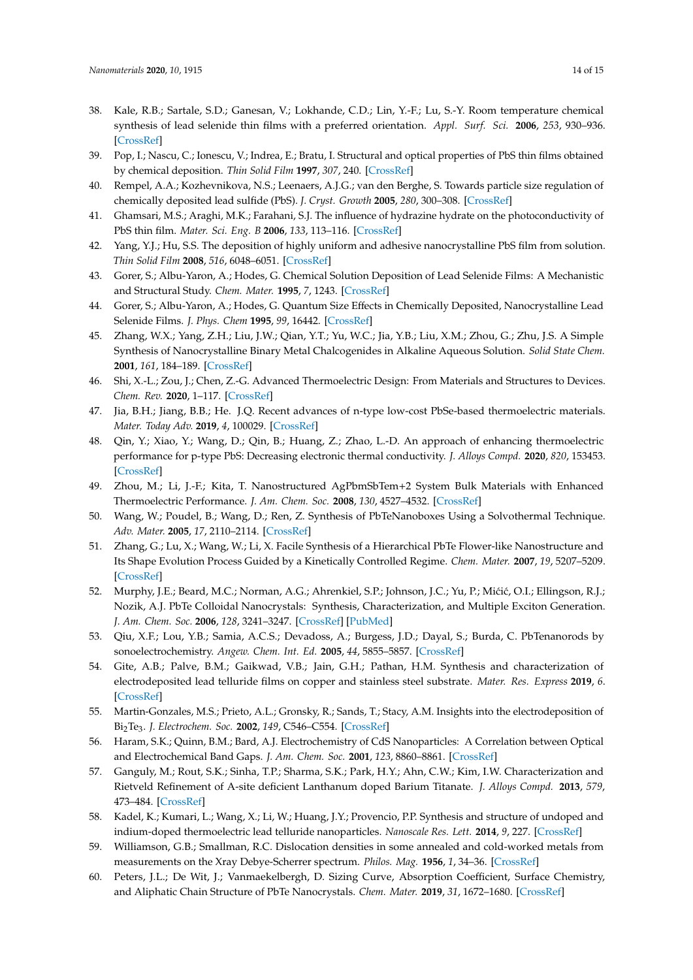- 38. Kale, R.B.; Sartale, S.D.; Ganesan, V.; Lokhande, C.D.; Lin, Y.-F.; Lu, S.-Y. Room temperature chemical synthesis of lead selenide thin films with a preferred orientation. *Appl. Surf. Sci.* **2006**, *253*, 930–936. [CrossRef]
- 39. Pop, I.; Nascu, C.; Ionescu, V.; Indrea, E.; Bratu, I. Structural and optical properties of PbS thin films obtained by chemical deposition. *Thin Solid Film* **1997**, *307*, 240. [CrossRef]
- 40. Rempel, A.A.; Kozhevnikova, N.S.; Leenaers, A.J.G.; van den Berghe, S. Towards particle size regulation of chemically deposited lead sulfide (PbS). *J. Cryst. Growth* **2005**, *280*, 300–308. [CrossRef]
- 41. Ghamsari, M.S.; Araghi, M.K.; Farahani, S.J. The influence of hydrazine hydrate on the photoconductivity of PbS thin film. *Mater. Sci. Eng. B* **2006**, *133*, 113–116. [CrossRef]
- 42. Yang, Y.J.; Hu, S.S. The deposition of highly uniform and adhesive nanocrystalline PbS film from solution. *Thin Solid Film* **2008**, *516*, 6048–6051. [CrossRef]
- 43. Gorer, S.; Albu-Yaron, A.; Hodes, G. Chemical Solution Deposition of Lead Selenide Films: A Mechanistic and Structural Study. *Chem. Mater.* **1995**, *7*, 1243. [CrossRef]
- 44. Gorer, S.; Albu-Yaron, A.; Hodes, G. Quantum Size Effects in Chemically Deposited, Nanocrystalline Lead Selenide Films. *J. Phys. Chem* **1995**, *99*, 16442. [CrossRef]
- 45. Zhang, W.X.; Yang, Z.H.; Liu, J.W.; Qian, Y.T.; Yu, W.C.; Jia, Y.B.; Liu, X.M.; Zhou, G.; Zhu, J.S. A Simple Synthesis of Nanocrystalline Binary Metal Chalcogenides in Alkaline Aqueous Solution. *Solid State Chem.* **2001**, *161*, 184–189. [CrossRef]
- 46. Shi, X.-L.; Zou, J.; Chen, Z.-G. Advanced Thermoelectric Design: From Materials and Structures to Devices. *Chem. Rev.* **2020**, 1–117. [CrossRef]
- 47. Jia, B.H.; Jiang, B.B.; He. J.Q. Recent advances of n-type low-cost PbSe-based thermoelectric materials. *Mater. Today Adv.* **2019**, *4*, 100029. [CrossRef]
- 48. Qin, Y.; Xiao, Y.; Wang, D.; Qin, B.; Huang, Z.; Zhao, L.-D. An approach of enhancing thermoelectric performance for p-type PbS: Decreasing electronic thermal conductivity. *J. Alloys Compd.* **2020**, *820*, 153453. [CrossRef]
- 49. Zhou, M.; Li, J.-F.; Kita, T. Nanostructured AgPbmSbTem+2 System Bulk Materials with Enhanced Thermoelectric Performance. *J. Am. Chem. Soc.* **2008**, *130*, 4527–4532. [CrossRef]
- 50. Wang, W.; Poudel, B.; Wang, D.; Ren, Z. Synthesis of PbTeNanoboxes Using a Solvothermal Technique. *Adv. Mater.* **2005**, *17*, 2110–2114. [CrossRef]
- 51. Zhang, G.; Lu, X.; Wang, W.; Li, X. Facile Synthesis of a Hierarchical PbTe Flower-like Nanostructure and Its Shape Evolution Process Guided by a Kinetically Controlled Regime. *Chem. Mater.* **2007**, *19*, 5207–5209. [CrossRef]
- 52. Murphy, J.E.; Beard, M.C.; Norman, A.G.; Ahrenkiel, S.P.; Johnson, J.C.; Yu, P.; Mićić, O.I.; Ellingson, R.J.; Nozik, A.J. PbTe Colloidal Nanocrystals: Synthesis, Characterization, and Multiple Exciton Generation. *J. Am. Chem. Soc.* **2006**, *128*, 3241–3247. [CrossRef] [PubMed]
- 53. Qiu, X.F.; Lou, Y.B.; Samia, A.C.S.; Devadoss, A.; Burgess, J.D.; Dayal, S.; Burda, C. PbTenanorods by sonoelectrochemistry. *Angew. Chem. Int. Ed.* **2005**, *44*, 5855–5857. [CrossRef]
- 54. Gite, A.B.; Palve, B.M.; Gaikwad, V.B.; Jain, G.H.; Pathan, H.M. Synthesis and characterization of electrodeposited lead telluride films on copper and stainless steel substrate. *Mater. Res. Express* **2019**, *6*. [CrossRef]
- 55. Martin-Gonzales, M.S.; Prieto, A.L.; Gronsky, R.; Sands, T.; Stacy, A.M. Insights into the electrodeposition of Bi2Te<sup>3</sup> . *J. Electrochem. Soc.* **2002**, *149*, C546–C554. [CrossRef]
- 56. Haram, S.K.; Quinn, B.M.; Bard, A.J. Electrochemistry of CdS Nanoparticles: A Correlation between Optical and Electrochemical Band Gaps. *J. Am. Chem. Soc.* **2001**, *123*, 8860–8861. [CrossRef]
- 57. Ganguly, M.; Rout, S.K.; Sinha, T.P.; Sharma, S.K.; Park, H.Y.; Ahn, C.W.; Kim, I.W. Characterization and Rietveld Refinement of A-site deficient Lanthanum doped Barium Titanate. *J. Alloys Compd.* **2013**, *579*, 473–484. [CrossRef]
- 58. Kadel, K.; Kumari, L.; Wang, X.; Li, W.; Huang, J.Y.; Provencio, P.P. Synthesis and structure of undoped and indium-doped thermoelectric lead telluride nanoparticles. *Nanoscale Res. Lett.* **2014**, *9*, 227. [CrossRef]
- 59. Williamson, G.B.; Smallman, R.C. Dislocation densities in some annealed and cold-worked metals from measurements on the Xray Debye-Scherrer spectrum. *Philos. Mag.* **1956**, *1*, 34–36. [CrossRef]
- 60. Peters, J.L.; De Wit, J.; Vanmaekelbergh, D. Sizing Curve, Absorption Coefficient, Surface Chemistry, and Aliphatic Chain Structure of PbTe Nanocrystals. *Chem. Mater.* **2019**, *31*, 1672–1680. [CrossRef]